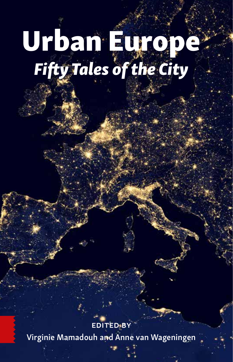# Urban Europe Fifty Tales of the City

EditEd by Virginie Mamadouh and Anne van Wageningen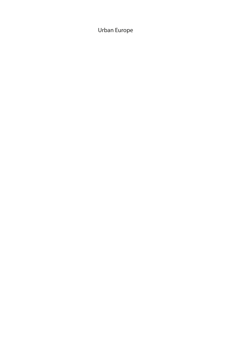Urban Europe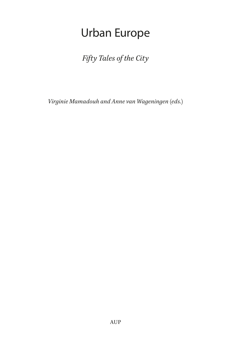# Urban Europe

*Fifty Tales of the City*

*Virginie Mamadouh and Anne van Wageningen (eds.)*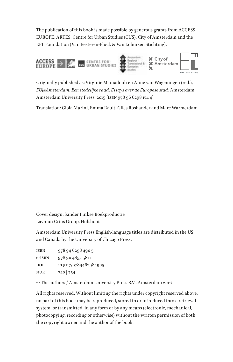The publication of this book is made possible by generous grants from ACCESS EUROPE, ARTES, Centre for Urban Studies (CUS), City of Amsterdam and the EFL Foundation (Van Eesteren-Fluck & Van Lohuizen Stichting).



Originally published as: Virginie Mamadouh en Anne van Wageningen (red.), *EU@Amsterdam. Een stedelijke raad*. *Essays over de Europese stad.* Amsterdam: Amsterdam University Press, 2015 [isbn 978 96 6298 174 4]

Translation: Gioia Marini, Emma Rault, Giles Rosbander and Marc Warmerdam

Cover design: Sander Pinkse Boekproductie Lay-out: Crius Group, Hulshout

Amsterdam University Press English-language titles are distributed in the US and Canada by the University of Chicago Press.

| <b>ISBN</b> | 978 94 6298 490 5     |
|-------------|-----------------------|
| e-ISBN      | 978 90 4853 5811      |
| DOI         | 10.5117/9789462984905 |
| <b>NUR</b>  | 740 754               |

© The authors / Amsterdam University Press B.V., Amsterdam 2016

All rights reserved. Without limiting the rights under copyright reserved above, no part of this book may be reproduced, stored in or introduced into a retrieval system, or transmitted, in any form or by any means (electronic, mechanical, photocopying, recording or otherwise) without the written permission of both the copyright owner and the author of the book.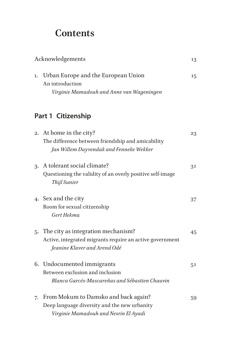## **Contents**

|    | Acknowledgements                                                                                                                  | 13 |
|----|-----------------------------------------------------------------------------------------------------------------------------------|----|
| 1. | Urban Europe and the European Union<br>An introduction<br>Virginie Mamadouh and Anne van Wageningen                               | 15 |
|    | Part 1 Citizenship                                                                                                                |    |
|    | 2. At home in the city?<br>The difference between friendship and amicability<br>Jan Willem Duyvendak and Fenneke Wekker           | 23 |
| 3. | A tolerant social climate?<br>Questioning the validity of an overly positive self-image<br>Thijl Sunier                           | 31 |
|    | 4. Sex and the city<br>Room for sexual citizenship<br>Gert Hekma                                                                  | 37 |
|    | 5. The city as integration mechanism?<br>Active, integrated migrants require an active government<br>Jeanine Klaver and Arend Odé | 45 |
|    | 6. Undocumented immigrants<br>Between exclusion and inclusion<br>Blanca Garcés-Mascareñas and Sébastien Chauvin                   | 51 |
| 7. | From Mokum to Damsko and back again?<br>Deep language diversity and the new urbanity<br>Virginie Mamadouh and Nesrin El Ayadi     | 59 |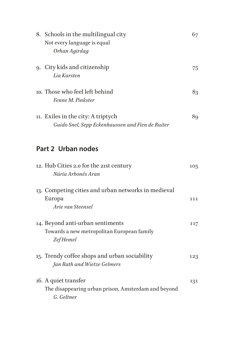|    | 8. Schools in the multilingual city              | 67 |
|----|--------------------------------------------------|----|
|    | Not every language is equal                      |    |
|    | Orhan Agirdag                                    |    |
| 9. | City kids and citizenship                        | 75 |
|    | Lia Karsten                                      |    |
|    | 10. Those who feel left behind                   | 83 |
|    | Fenne M. Pinkster                                |    |
|    | 11. Exiles in the city: A triptych               | 89 |
|    | Guido Snel, Sepp Eckenhaussen and Fien de Ruiter |    |

## **[Part 2](#page--1-0) [Urban nodes](#page--1-0)**

| 12. Hub Cities 2.0 for the 21st century<br>Núria Arbonés Aran                                      | 105 |
|----------------------------------------------------------------------------------------------------|-----|
| 13. Competing cities and urban networks in medieval<br>Europa<br>Arie van Steensel                 | 111 |
| 14. Beyond anti-urban sentiments<br>Towards a new metropolitan European family<br><i>Zef Hemel</i> | 117 |
| 15. Trendy coffee shops and urban sociability<br>Jan Rath and Wietze Gelmers                       | 123 |
| 16. A quiet transfer<br>The disappearing urban prison, Amsterdam and beyond<br>G. Geltner          | 131 |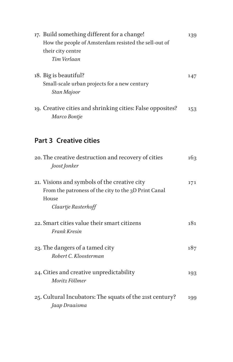| 17. Build something different for a change!<br>How the people of Amsterdam resisted the sell-out of<br>their city centre<br>Tim Verlaan | 139 |
|-----------------------------------------------------------------------------------------------------------------------------------------|-----|
| 18. Big is beautiful?<br>Small-scale urban projects for a new century<br>Stan Majoor                                                    | 147 |
| 19. Creative cities and shrinking cities: False opposites?<br>Marco Bontje                                                              | 153 |
| <b>Part 3 Creative cities</b>                                                                                                           |     |
| 20. The creative destruction and recovery of cities<br>Joost Jonker                                                                     | 163 |
| 21. Visions and symbols of the creative city<br>From the patroness of the city to the 3D Print Canal<br>House<br>Claartje Rasterhoff    | 171 |
| 22. Smart cities value their smart citizens<br>Frank Kresin                                                                             | 181 |
| 23. The dangers of a tamed city<br>Robert C. Kloosterman                                                                                | 187 |
| 24. Cities and creative unpredictability<br>Moritz Föllmer                                                                              | 193 |
| 25. Cultural Incubators: The squats of the 21st century?<br>Jaap Draaisma                                                               | 199 |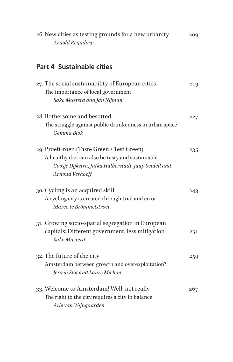| 26. New cities as testing grounds for a new urbanity | 209 |
|------------------------------------------------------|-----|
| Arnold Reijndorp                                     |     |

## **[Part 4](#page--1-0) [Sustainable cities](#page--1-0)**

| 27. The social sustainability of European cities                                                                            | 219 |
|-----------------------------------------------------------------------------------------------------------------------------|-----|
| The importance of local government                                                                                          |     |
| Sako Musterd and Jan Nijman                                                                                                 |     |
| 28. Bothersome and besotted                                                                                                 | 227 |
| The struggle against public drunkenness in urban space<br>Gemma Blok                                                        |     |
| 29. ProefGroen (Taste Green / Test Green)                                                                                   | 235 |
| A healthy diet can also be tasty and sustainable<br>Coosje Dijkstra, Jutka Halberstadt, Jaap Seidell and<br>Arnoud Verhoeff |     |
| 30. Cycling is an acquired skill<br>A cycling city is created through trial and error<br>Marco te Brömmelstroet             | 243 |
| 31. Growing socio-spatial segregation in European<br>capitals: Different government, less mitigation<br>Sako Musterd        | 251 |
| 32. The future of the city<br>Amsterdam between growth and overexploitation?<br>Jeroen Slot and Laure Michon                | 259 |
| 33. Welcome to Amsterdam! Well, not really<br>The right to the city requires a city in balance<br>Arie van Wijngaarden      | 267 |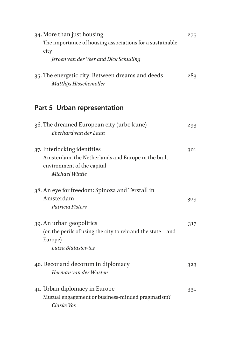| 34. More than just housing                                                                                                        | 275 |
|-----------------------------------------------------------------------------------------------------------------------------------|-----|
| The importance of housing associations for a sustainable<br>city                                                                  |     |
| Jeroen van der Veer and Dick Schuiling                                                                                            |     |
| 35. The energetic city: Between dreams and deeds<br>Matthijs Hisschemöller                                                        | 283 |
| Part 5 Urban representation                                                                                                       |     |
| 36. The dreamed European city (urbo kune)<br>Eberhard van der Laan                                                                | 293 |
| 37. Interlocking identities<br>Amsterdam, the Netherlands and Europe in the built<br>environment of the capital<br>Michael Wintle | 301 |
| 38. An eye for freedom: Spinoza and Terstall in<br>Amsterdam<br>Patricia Pisters                                                  | 309 |
| 39. An urban geopolitics<br>(or, the perils of using the city to rebrand the state - and<br>Europe)<br>Luiza Bialasiewicz         | 317 |
| 40. Decor and decorum in diplomacy<br>Herman van der Wusten                                                                       | 323 |
| 41. Urban diplomacy in Europe<br>Mutual engagement or business-minded pragmatism?<br>Claske Vos                                   | 331 |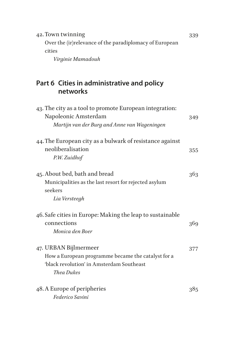| 42. Town twinning<br>Over the (ir)relevance of the paradiplomacy of European<br>cities<br>Virginie Mamadouh                            | 339 |
|----------------------------------------------------------------------------------------------------------------------------------------|-----|
| Part 6 Cities in administrative and policy<br>networks                                                                                 |     |
| 43. The city as a tool to promote European integration:<br>Napoleonic Amsterdam<br>Martijn van der Burg and Anne van Wageningen        | 349 |
| 44. The European city as a bulwark of resistance against<br>neoliberalisation<br>P.W. Zuidhof                                          | 355 |
| 45. About bed, bath and bread<br>Municipalities as the last resort for rejected asylum<br>seekers<br>Lia Versteegh                     | 363 |
| 46. Safe cities in Europe: Making the leap to sustainable<br>connections<br>Monica den Boer                                            | 369 |
| 47. URBAN Bijlmermeer<br>How a European programme became the catalyst for a<br>'black revolution' in Amsterdam Southeast<br>Thea Dukes | 377 |
| 48. A Europe of peripheries<br>Federico Savini                                                                                         | 385 |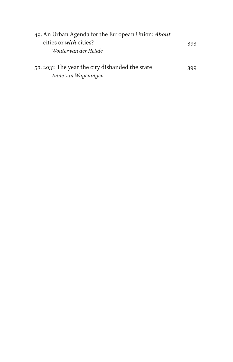| 49. An Urban Agenda for the European Union: About                      |     |
|------------------------------------------------------------------------|-----|
| cities or <i>with</i> cities?                                          | 393 |
| Wouter van der Heijde                                                  |     |
| 50. 2031: The year the city disbanded the state<br>Anne van Wageningen | 399 |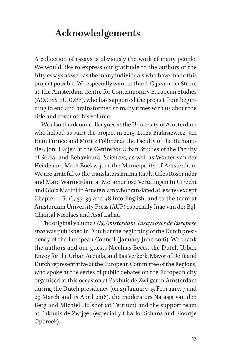## <span id="page-13-0"></span>**Acknowledgements**

A collection of essays is obviously the work of many people. We would like to express our gratitude to the authors of the fifty essays as well as the many individuals who have made this project possible. We especially want to thank Gijs van der Starre at The Amsterdam Centre for Contemporary European Studies (ACCESS EUROPE), who has supported the project from beginning to end and brainstormed so many times with us about the title and cover of this volume.

We also thank our colleagues at the University of Amsterdam who helped us start the project in 2015: Luiza Bialasiewicz, Jan Hein Furnée and Moritz Föllmer at the Faculty of the Humanities, Joni Haijen at the Centre for Urban Studies of the Faculty of Social and Behavioural Sciences, as well as Wouter van der Heijde and Mark Boekwijt at the Municipality of Amsterdam. We are grateful to the translators Emma Rault, Giles Rosbander and Marc Warmerdam at Metamorfose Vertalingen in Utrecht and Gioia Marini in Amsterdam who translated all essays except Chapter 1, 6, 16, 37, 39 and 48 into English, and to the team at Amsterdam University Press (AUP) especially Inge van der Bijl, Chantal Nicolaes and Asaf Lahat.

The original volume *EU@Amsterdam*: *Essays over de Europese stad* was published in Dutch at the beginning of the Dutch presidency of the European Council (January-June 2016); We thank the authors and our guests Nicolaas Beets, the Dutch Urban Envoy for the Urban Agenda, and Bas Verkerk, Mayor of Delft and Dutch representative at the European Committee of the Regions, who spoke at the series of public debates on the European city organised at this occasion at Pakhuis de Zwijger in Amsterdam during the Dutch presidency (on 29 January, 15 February, 7 and 29 March and 18 April 2016), the moderators Natasja van den Berg and Michiel Hulshof (at Tertium) and the support team at Pakhuis de Zwijger (especially Charlot Schans and Floortje Opbroek).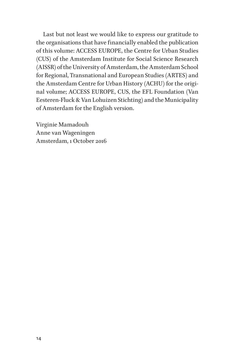Last but not least we would like to express our gratitude to the organisations that have financially enabled the publication of this volume: ACCESS EUROPE, the Centre for Urban Studies (CUS) of the Amsterdam Institute for Social Science Research (AISSR) of the University of Amsterdam, the Amsterdam School for Regional, Transnational and European Studies (ARTES) and the Amsterdam Centre for Urban History (ACHU) for the original volume; ACCESS EUROPE, CUS, the EFL Foundation (Van Eesteren-Fluck & Van Lohuizen Stichting) and the Municipality of Amsterdam for the English version.

Virginie Mamadouh Anne van Wageningen Amsterdam, 1 October 2016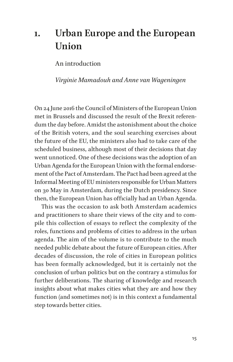## <span id="page-15-0"></span>**1. Urban Europe and the European Union**

An introduction

*Virginie Mamadouh and Anne van Wageningen*

On 24 June 2016 the Council of Ministers of the European Union met in Brussels and discussed the result of the Brexit referendum the day before. Amidst the astonishment about the choice of the British voters, and the soul searching exercises about the future of the EU, the ministers also had to take care of the scheduled business, although most of their decisions that day went unnoticed. One of these decisions was the adoption of an Urban Agenda for the European Union with the formal endorsement of the Pact of Amsterdam. The Pact had been agreed at the Informal Meeting of EU ministers responsible for Urban Matters on 30 May in Amsterdam, during the Dutch presidency. Since then, the European Union has officially had an Urban Agenda.

This was the occasion to ask both Amsterdam academics and practitioners to share their views of the city and to compile this collection of essays to reflect the complexity of the roles, functions and problems of cities to address in the urban agenda. The aim of the volume is to contribute to the much needed public debate about the future of European cities. After decades of discussion, the role of cities in European politics has been formally acknowledged, but it is certainly not the conclusion of urban politics but on the contrary a stimulus for further deliberations. The sharing of knowledge and research insights about what makes cities what they are and how they function (and sometimes not) is in this context a fundamental step towards better cities.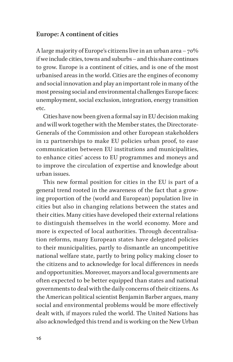#### **Europe: A continent of cities**

A large majority of Europe's citizens live in an urban area – 70% if we include cities, towns and suburbs – and this share continues to grow. Europe is a continent of cities, and is one of the most urbanised areas in the world. Cities are the engines of economy and social innovation and play an important role in many of the most pressing social and environmental challenges Europe faces: unemployment, social exclusion, integration, energy transition etc.

Cities have now been given a formal say in EU decision making and will work together with the Member states, the Directorate-Generals of the Commission and other European stakeholders in 12 partnerships to make EU policies urban proof, to ease communication between EU institutions and municipalities, to enhance cities' access to EU programmes and moneys and to improve the circulation of expertise and knowledge about urban issues.

This new formal position for cities in the EU is part of a general trend rooted in the awareness of the fact that a growing proportion of the (world and European) population live in cities but also in changing relations between the states and their cities. Many cities have developed their external relations to distinguish themselves in the world economy. More and more is expected of local authorities. Through decentralisation reforms, many European states have delegated policies to their municipalities, partly to dismantle an uncompetitive national welfare state, partly to bring policy making closer to the citizens and to acknowledge for local differences in needs and opportunities. Moreover, mayors and local governments are often expected to be better equipped than states and national governments to deal with the daily concerns of their citizens. As the American political scientist Benjamin Barber argues, many social and environmental problems would be more effectively dealt with, if mayors ruled the world. The United Nations has also acknowledged this trend and is working on the New Urban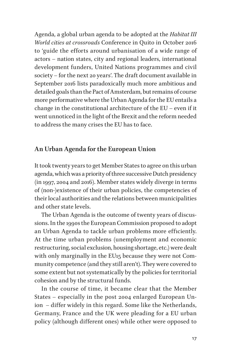Agenda, a global urban agenda to be adopted at the *Habitat III World cities at crossroads* Conference in Quito in October 2016 to 'guide the efforts around urbanisation of a wide range of actors – nation states, city and regional leaders, international development funders, United Nations programmes and civil society – for the next 20 years'. The draft document available in September 2016 lists paradoxically much more ambitious and detailed goals than the Pact of Amsterdam, but remains of course more performative where the Urban Agenda for the EU entails a change in the constitutional architecture of the EU – even if it went unnoticed in the light of the Brexit and the reform needed to address the many crises the EU has to face.

#### **An Urban Agenda for the European Union**

It took twenty years to get Member States to agree on this urban agenda, which was a priority of three successive Dutch presidency (in 1997, 2004 and 2016). Member states widely diverge in terms of (non-)existence of their urban policies, the competencies of their local authorities and the relations between municipalities and other state levels.

The Urban Agenda is the outcome of twenty years of discussions. In the 1990s the European Commission proposed to adopt an Urban Agenda to tackle urban problems more efficiently. At the time urban problems (unemployment and economic restructuring, social exclusion, housing shortage, etc.) were dealt with only marginally in the EU15 because they were not Community competence (and they still aren't). They were covered to some extent but not systematically by the policies for territorial cohesion and by the structural funds.

In the course of time, it became clear that the Member States – especially in the post 2004 enlarged European Union – differ widely in this regard. Some like the Netherlands, Germany, France and the UK were pleading for a EU urban policy (although different ones) while other were opposed to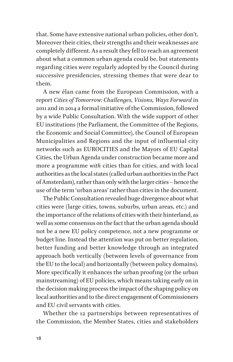that. Some have extensive national urban policies, other don't. Moreover their cities, their strengths and their weaknesses are completely different. As a result they fell to reach an agreement about what a common urban agenda could be, but statements regarding cities were regularly adopted by the Council during successive presidencies, stressing themes that were dear to them.

A new élan came from the European Commission, with a report *Cities of Tomorrow: Challenges, Visions, Ways Forward* in 2011 and in 2014 a formal initiative of the Commission, followed by a wide Public Consultation. With the wide support of other EU institutions (the Parliament, the Committee of the Regions, the Economic and Social Committee), the Council of European Municipalities and Regions and the input of influential city networks such as EUROCITIES and the Mayors of EU Capital Cities, the Urban Agenda under construction became more and more a programme *with* cities than for cities, and with local authorities as the local states (called urban authorities in the Pact of Amsterdam), rather than only with the larger cities – hence the use of the term 'urban areas' rather than cities in the document.

The Public Consultation revealed huge divergence about what cities were (large cities, towns, suburbs, urban areas, etc.) and the importance of the relations of cities with their hinterland, as well as some consensus on the fact that the urban agenda should not be a new EU policy competence, not a new programme or budget line. Instead the attention was put on better regulation, better funding and better knowledge through an integrated approach both vertically (between levels of governance from the EU to the local) and horizontally (between policy domains). More specifically it enhances the urban proofing (or the urban mainstreaming) of EU policies, which means taking early on in the decision making process the impact of the shaping policy on local authorities and to the direct engagement of Commissioners and EU civil servants with cities.

Whether the 12 partnerships between representatives of the Commission, the Member States, cities and stakeholders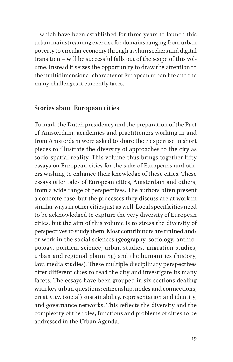– which have been established for three years to launch this urban mainstreaming exercise for domains ranging from urban poverty to circular economy through asylum seekers and digital transition – will be successful falls out of the scope of this volume. Instead it seizes the opportunity to draw the attention to the multidimensional character of European urban life and the many challenges it currently faces.

#### **Stories about European cities**

To mark the Dutch presidency and the preparation of the Pact of Amsterdam, academics and practitioners working in and from Amsterdam were asked to share their expertise in short pieces to illustrate the diversity of approaches to the city as socio-spatial reality. This volume thus brings together fifty essays on European cities for the sake of Europeans and others wishing to enhance their knowledge of these cities. These essays offer tales of European cities, Amsterdam and others, from a wide range of perspectives. The authors often present a concrete case, but the processes they discuss are at work in similar ways in other cities just as well. Local specificities need to be acknowledged to capture the very diversity of European cities, but the aim of this volume is to stress the diversity of perspectives to study them. Most contributors are trained and/ or work in the social sciences (geography, sociology, anthropology, political science, urban studies, migration studies, urban and regional planning) and the humanities (history, law, media studies). These multiple disciplinary perspectives offer different clues to read the city and investigate its many facets. The essays have been grouped in six sections dealing with key urban questions: citizenship, nodes and connections, creativity, (social) sustainability, representation and identity, and governance networks. This reflects the diversity and the complexity of the roles, functions and problems of cities to be addressed in the Urban Agenda.